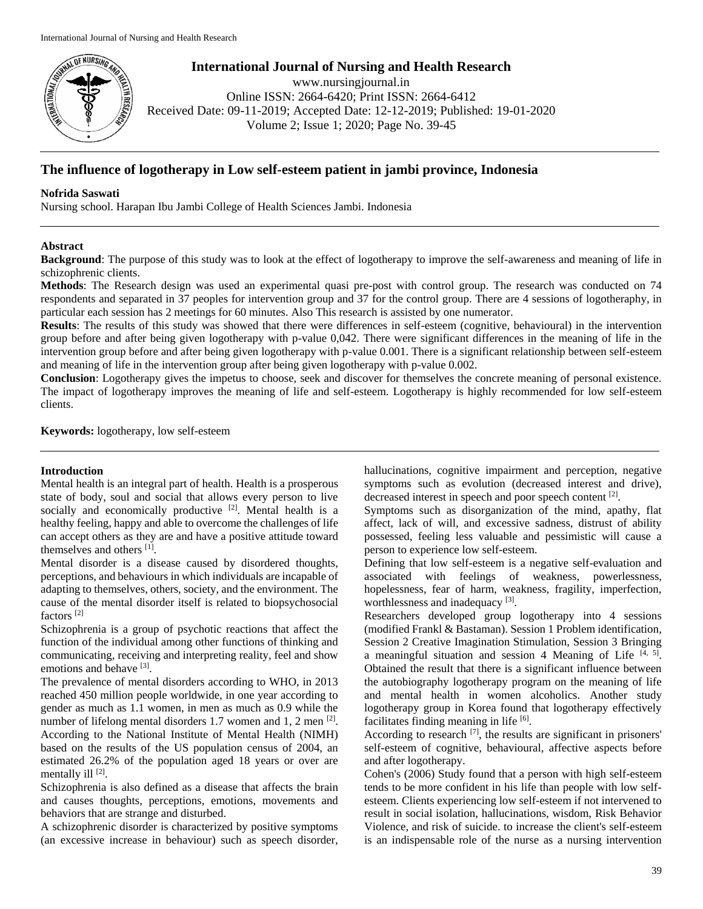

**International Journal of Nursing and Health Research**

www.nursingjournal.in Online ISSN: 2664-6420; Print ISSN: 2664-6412 Received Date: 09-11-2019; Accepted Date: 12-12-2019; Published: 19-01-2020 Volume 2; Issue 1; 2020; Page No. 39-45

# **The influence of logotherapy in Low self-esteem patient in jambi province, Indonesia**

# **Nofrida Saswati**

Nursing school. Harapan Ibu Jambi College of Health Sciences Jambi. Indonesia

# **Abstract**

**Background**: The purpose of this study was to look at the effect of logotherapy to improve the self-awareness and meaning of life in schizophrenic clients.

**Methods**: The Research design was used an experimental quasi pre-post with control group. The research was conducted on 74 respondents and separated in 37 peoples for intervention group and 37 for the control group. There are 4 sessions of logotheraphy, in particular each session has 2 meetings for 60 minutes. Also This research is assisted by one numerator.

**Results**: The results of this study was showed that there were differences in self-esteem (cognitive, behavioural) in the intervention group before and after being given logotherapy with p-value 0,042. There were significant differences in the meaning of life in the intervention group before and after being given logotherapy with p-value 0.001. There is a significant relationship between self-esteem and meaning of life in the intervention group after being given logotherapy with p-value 0.002.

**Conclusion**: Logotherapy gives the impetus to choose, seek and discover for themselves the concrete meaning of personal existence. The impact of logotherapy improves the meaning of life and self-esteem. Logotherapy is highly recommended for low self-esteem clients.

**Keywords:** logotherapy, low self-esteem

# **Introduction**

Mental health is an integral part of health. Health is a prosperous state of body, soul and social that allows every person to live socially and economically productive [2]. Mental health is a healthy feeling, happy and able to overcome the challenges of life can accept others as they are and have a positive attitude toward themselves and others [1] .

Mental disorder is a disease caused by disordered thoughts, perceptions, and behaviours in which individuals are incapable of adapting to themselves, others, society, and the environment. The cause of the mental disorder itself is related to biopsychosocial factors [2]

Schizophrenia is a group of psychotic reactions that affect the function of the individual among other functions of thinking and communicating, receiving and interpreting reality, feel and show emotions and behave [3].

The prevalence of mental disorders according to WHO, in 2013 reached 450 million people worldwide, in one year according to gender as much as 1.1 women, in men as much as 0.9 while the number of lifelong mental disorders 1.7 women and 1, 2 men  $^{[2]}$ . According to the National Institute of Mental Health (NIMH) based on the results of the US population census of 2004, an estimated 26.2% of the population aged 18 years or over are mentally ill [2].

Schizophrenia is also defined as a disease that affects the brain and causes thoughts, perceptions, emotions, movements and behaviors that are strange and disturbed.

A schizophrenic disorder is characterized by positive symptoms (an excessive increase in behaviour) such as speech disorder, hallucinations, cognitive impairment and perception, negative symptoms such as evolution (decreased interest and drive), decreased interest in speech and poor speech content [2].

Symptoms such as disorganization of the mind, apathy, flat affect, lack of will, and excessive sadness, distrust of ability possessed, feeling less valuable and pessimistic will cause a person to experience low self-esteem.

Defining that low self-esteem is a negative self-evaluation and associated with feelings of weakness, powerlessness, hopelessness, fear of harm, weakness, fragility, imperfection, worthlessness and inadequacy [3].

Researchers developed group logotherapy into 4 sessions (modified Frankl & Bastaman). Session 1 Problem identification, Session 2 Creative Imagination Stimulation, Session 3 Bringing a meaningful situation and session 4 Meaning of Life  $[4, 5]$ . Obtained the result that there is a significant influence between the autobiography logotherapy program on the meaning of life and mental health in women alcoholics. Another study logotherapy group in Korea found that logotherapy effectively facilitates finding meaning in life [6].

According to research  $\left[7\right]$ , the results are significant in prisoners' self-esteem of cognitive, behavioural, affective aspects before and after logotherapy.

Cohen's (2006) Study found that a person with high self-esteem tends to be more confident in his life than people with low selfesteem. Clients experiencing low self-esteem if not intervened to result in social isolation, hallucinations, wisdom, Risk Behavior Violence, and risk of suicide. to increase the client's self-esteem is an indispensable role of the nurse as a nursing intervention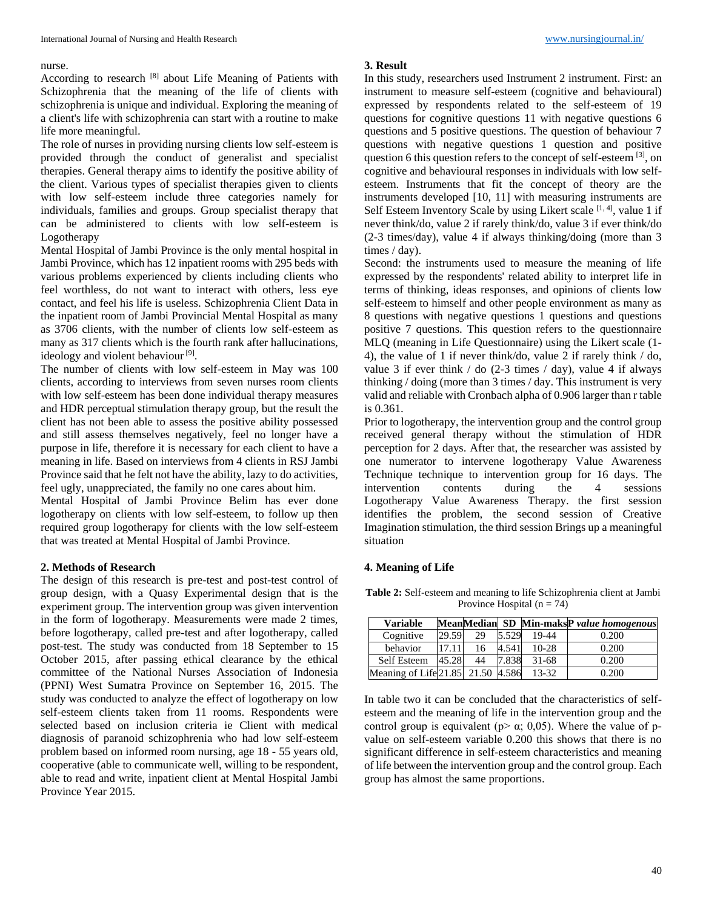#### nurse.

According to research [8] about Life Meaning of Patients with Schizophrenia that the meaning of the life of clients with schizophrenia is unique and individual. Exploring the meaning of a client's life with schizophrenia can start with a routine to make life more meaningful.

The role of nurses in providing nursing clients low self-esteem is provided through the conduct of generalist and specialist therapies. General therapy aims to identify the positive ability of the client. Various types of specialist therapies given to clients with low self-esteem include three categories namely for individuals, families and groups. Group specialist therapy that can be administered to clients with low self-esteem is Logotherapy

Mental Hospital of Jambi Province is the only mental hospital in Jambi Province, which has 12 inpatient rooms with 295 beds with various problems experienced by clients including clients who feel worthless, do not want to interact with others, less eye contact, and feel his life is useless. Schizophrenia Client Data in the inpatient room of Jambi Provincial Mental Hospital as many as 3706 clients, with the number of clients low self-esteem as many as 317 clients which is the fourth rank after hallucinations, ideology and violent behaviour<sup>[9]</sup>.

The number of clients with low self-esteem in May was 100 clients, according to interviews from seven nurses room clients with low self-esteem has been done individual therapy measures and HDR perceptual stimulation therapy group, but the result the client has not been able to assess the positive ability possessed and still assess themselves negatively, feel no longer have a purpose in life, therefore it is necessary for each client to have a meaning in life. Based on interviews from 4 clients in RSJ Jambi Province said that he felt not have the ability, lazy to do activities, feel ugly, unappreciated, the family no one cares about him.

Mental Hospital of Jambi Province Belim has ever done logotherapy on clients with low self-esteem, to follow up then required group logotherapy for clients with the low self-esteem that was treated at Mental Hospital of Jambi Province.

### **2. Methods of Research**

The design of this research is pre-test and post-test control of group design, with a Quasy Experimental design that is the experiment group. The intervention group was given intervention in the form of logotherapy. Measurements were made 2 times, before logotherapy, called pre-test and after logotherapy, called post-test. The study was conducted from 18 September to 15 October 2015, after passing ethical clearance by the ethical committee of the National Nurses Association of Indonesia (PPNI) West Sumatra Province on September 16, 2015. The study was conducted to analyze the effect of logotherapy on low self-esteem clients taken from 11 rooms. Respondents were selected based on inclusion criteria ie Client with medical diagnosis of paranoid schizophrenia who had low self-esteem problem based on informed room nursing, age 18 - 55 years old, cooperative (able to communicate well, willing to be respondent, able to read and write, inpatient client at Mental Hospital Jambi Province Year 2015.

#### **3. Result**

In this study, researchers used Instrument 2 instrument. First: an instrument to measure self-esteem (cognitive and behavioural) expressed by respondents related to the self-esteem of 19 questions for cognitive questions 11 with negative questions 6 questions and 5 positive questions. The question of behaviour 7 questions with negative questions 1 question and positive question 6 this question refers to the concept of self-esteem [3], on cognitive and behavioural responses in individuals with low selfesteem. Instruments that fit the concept of theory are the instruments developed [10, 11] with measuring instruments are Self Esteem Inventory Scale by using Likert scale  $[1, 4]$ , value 1 if never think/do, value 2 if rarely think/do, value 3 if ever think/do (2-3 times/day), value 4 if always thinking/doing (more than 3 times / day).

Second: the instruments used to measure the meaning of life expressed by the respondents' related ability to interpret life in terms of thinking, ideas responses, and opinions of clients low self-esteem to himself and other people environment as many as 8 questions with negative questions 1 questions and questions positive 7 questions. This question refers to the questionnaire MLQ (meaning in Life Questionnaire) using the Likert scale (1- 4), the value of 1 if never think/do, value 2 if rarely think / do, value 3 if ever think  $/$  do (2-3 times  $/$  day), value 4 if always thinking / doing (more than 3 times / day. This instrument is very valid and reliable with Cronbach alpha of 0.906 larger than r table is 0.361.

Prior to logotherapy, the intervention group and the control group received general therapy without the stimulation of HDR perception for 2 days. After that, the researcher was assisted by one numerator to intervene logotherapy Value Awareness Technique technique to intervention group for 16 days. The intervention contents during the 4 sessions Logotherapy Value Awareness Therapy. the first session identifies the problem, the second session of Creative Imagination stimulation, the third session Brings up a meaningful situation

## **4. Meaning of Life**

**Table 2:** Self-esteem and meaning to life Schizophrenia client at Jambi Province Hospital  $(n = 74)$ 

| <b>Variable</b>                   |       |    |       |           | MeanMedian SD Min-maksP value homogenous |
|-----------------------------------|-------|----|-------|-----------|------------------------------------------|
| Cognitive                         | 29.59 | 29 | 5.529 | 19-44     | 0.200                                    |
| behavior                          | 17.11 | 16 | 4.541 | $10-28$   | 0.200                                    |
| Self Esteem                       | 45.28 | 44 | 7.838 | $31 - 68$ | 0.200                                    |
| Meaning of Life 21.85 21.50 4.586 |       |    |       | $13 - 32$ | 0.200                                    |

In table two it can be concluded that the characteristics of selfesteem and the meaning of life in the intervention group and the control group is equivalent ( $p > \alpha$ ; 0,05). Where the value of pvalue on self-esteem variable 0.200 this shows that there is no significant difference in self-esteem characteristics and meaning of life between the intervention group and the control group. Each group has almost the same proportions.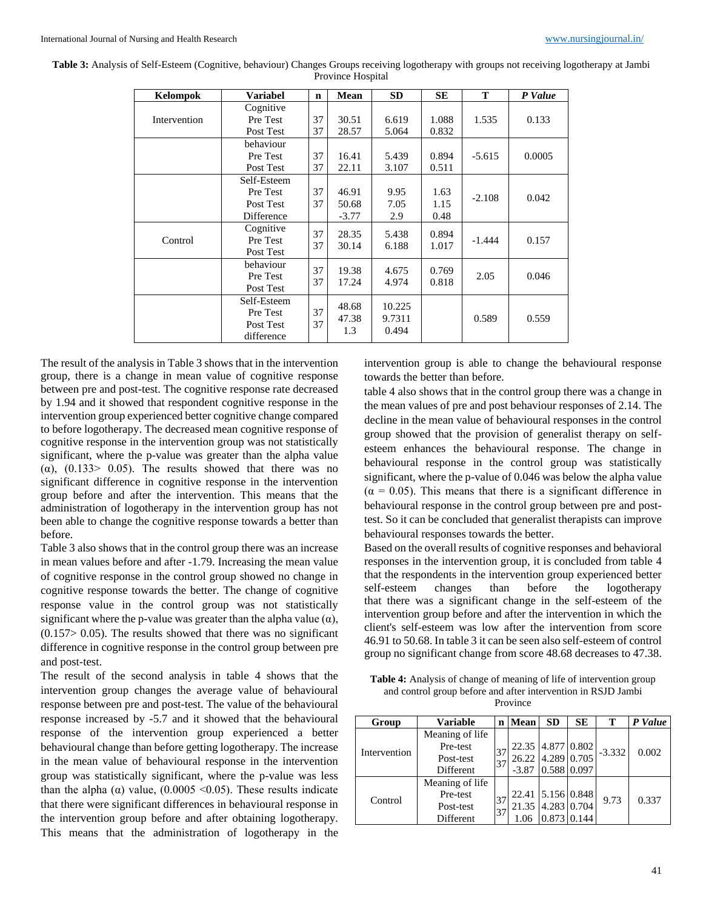| Kelompok     | Variabel                                           | $\mathbf n$ | Mean                      | SD.                       | SЕ                   | T        | P Value |
|--------------|----------------------------------------------------|-------------|---------------------------|---------------------------|----------------------|----------|---------|
| Intervention | Cognitive<br>Pre Test<br>Post Test                 |             | 30.51<br>28.57            | 6.619<br>5.064            | 1.088<br>0.832       | 1.535    | 0.133   |
|              | behaviour<br>Pre Test<br>Post Test                 | 37<br>37    | 16.41<br>22.11            | 5.439<br>3.107            | 0.894<br>0.511       | $-5.615$ | 0.0005  |
|              | Self-Esteem<br>Pre Test<br>Post Test<br>Difference | 37<br>37    | 46.91<br>50.68<br>$-3.77$ | 9.95<br>7.05<br>2.9       | 1.63<br>1.15<br>0.48 | $-2.108$ | 0.042   |
| Control      | Cognitive<br>Pre Test<br>Post Test                 | 37<br>37    | 28.35<br>30.14            | 5.438<br>6.188            | 0.894<br>1.017       | $-1.444$ | 0.157   |
|              | behaviour<br>Pre Test<br>Post Test                 | 37<br>37    | 19.38<br>17.24            | 4.675<br>4.974            | 0.769<br>0.818       | 2.05     | 0.046   |
|              | Self-Esteem<br>Pre Test<br>Post Test<br>difference |             | 48.68<br>47.38<br>1.3     | 10.225<br>9.7311<br>0.494 |                      | 0.589    | 0.559   |

**Table 3:** Analysis of Self-Esteem (Cognitive, behaviour) Changes Groups receiving logotherapy with groups not receiving logotherapy at Jambi Province Hospital

The result of the analysis in Table 3 shows that in the intervention group, there is a change in mean value of cognitive response between pre and post-test. The cognitive response rate decreased by 1.94 and it showed that respondent cognitive response in the intervention group experienced better cognitive change compared to before logotherapy. The decreased mean cognitive response of cognitive response in the intervention group was not statistically significant, where the p-value was greater than the alpha value ( $\alpha$ ), (0.133> 0.05). The results showed that there was no significant difference in cognitive response in the intervention group before and after the intervention. This means that the administration of logotherapy in the intervention group has not been able to change the cognitive response towards a better than before.

Table 3 also shows that in the control group there was an increase in mean values before and after -1.79. Increasing the mean value of cognitive response in the control group showed no change in cognitive response towards the better. The change of cognitive response value in the control group was not statistically significant where the p-value was greater than the alpha value  $(\alpha)$ ,  $(0.157 > 0.05)$ . The results showed that there was no significant difference in cognitive response in the control group between pre and post-test.

The result of the second analysis in table 4 shows that the intervention group changes the average value of behavioural response between pre and post-test. The value of the behavioural response increased by -5.7 and it showed that the behavioural response of the intervention group experienced a better behavioural change than before getting logotherapy. The increase in the mean value of behavioural response in the intervention group was statistically significant, where the p-value was less than the alpha ( $\alpha$ ) value, (0.0005 <0.05). These results indicate that there were significant differences in behavioural response in the intervention group before and after obtaining logotherapy. This means that the administration of logotherapy in the

intervention group is able to change the behavioural response towards the better than before.

table 4 also shows that in the control group there was a change in the mean values of pre and post behaviour responses of 2.14. The decline in the mean value of behavioural responses in the control group showed that the provision of generalist therapy on selfesteem enhances the behavioural response. The change in behavioural response in the control group was statistically significant, where the p-value of 0.046 was below the alpha value  $(\alpha = 0.05)$ . This means that there is a significant difference in behavioural response in the control group between pre and posttest. So it can be concluded that generalist therapists can improve behavioural responses towards the better.

Based on the overall results of cognitive responses and behavioral responses in the intervention group, it is concluded from table 4 that the respondents in the intervention group experienced better self-esteem changes than before the logotherapy that there was a significant change in the self-esteem of the intervention group before and after the intervention in which the client's self-esteem was low after the intervention from score 46.91 to 50.68. In table 3 it can be seen also self-esteem of control group no significant change from score 48.68 decreases to 47.38.

Table 4: Analysis of change of meaning of life of intervention group and control group before and after intervention in RSJD Jambi Province

| Group        | <b>Variable</b> | $\mathbf n$ | Mean    | <b>SD</b>         | SЕ    | т        | P Value |
|--------------|-----------------|-------------|---------|-------------------|-------|----------|---------|
| Intervention | Meaning of life |             |         |                   |       |          |         |
|              | Pre-test        | 37          |         | 22.35 4.877 0.802 |       | $-3.332$ | 0.002   |
|              | Post-test       | 37          |         | 26.22 4.289 0.705 |       |          |         |
|              | Different       |             | $-3.87$ | 0.588 0.097       |       |          |         |
|              | Meaning of life |             |         |                   |       |          |         |
| Control      | Pre-test        | 37          | 22.41   | 5.156 0.848       |       | 9.73     | 0.337   |
|              | Post-test       | 37          |         | 21.35 4.283 0.704 |       |          |         |
|              | Different       |             | 1.06    | 0.873             | 0.144 |          |         |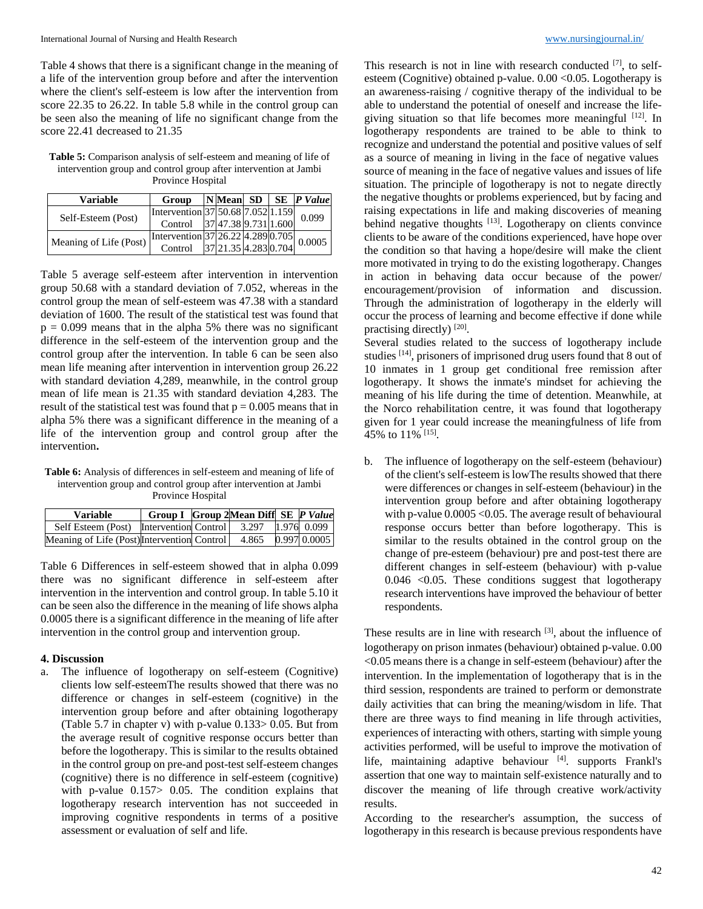Table 4 shows that there is a significant change in the meaning of a life of the intervention group before and after the intervention where the client's self-esteem is low after the intervention from score 22.35 to 26.22. In table 5.8 while in the control group can be seen also the meaning of life no significant change from the score 22.41 decreased to 21.35

**Table 5:** Comparison analysis of self-esteem and meaning of life of intervention group and control group after intervention at Jambi Province Hospital

| Variable               | Group                                                                    |  |       | $\vert N \vert$ Mean SD   SE   P Value |  |
|------------------------|--------------------------------------------------------------------------|--|-------|----------------------------------------|--|
| Self-Esteem (Post)     | Intervention 37 50.68 7.052 1.159                                        |  | 0.099 |                                        |  |
|                        | Control 37 47.38 9.731 1.600                                             |  |       |                                        |  |
| Meaning of Life (Post) | Intervention 37 26.22 4.289 0.705<br>Control 37 21.35 4.283 0.704 0.0005 |  |       |                                        |  |
|                        |                                                                          |  |       |                                        |  |

Table 5 average self-esteem after intervention in intervention group 50.68 with a standard deviation of 7.052, whereas in the control group the mean of self-esteem was 47.38 with a standard deviation of 1600. The result of the statistical test was found that  $p = 0.099$  means that in the alpha 5% there was no significant difference in the self-esteem of the intervention group and the control group after the intervention. In table 6 can be seen also mean life meaning after intervention in intervention group 26.22 with standard deviation 4,289, meanwhile, in the control group mean of life mean is 21.35 with standard deviation 4,283. The result of the statistical test was found that  $p = 0.005$  means that in alpha 5% there was a significant difference in the meaning of a life of the intervention group and control group after the intervention**.**

Table 6: Analysis of differences in self-esteem and meaning of life of intervention group and control group after intervention at Jambi Province Hospital

| <b>Variable</b>                                           | <b>Group I</b> Group 2Mean Diff SE P Value |       |              |
|-----------------------------------------------------------|--------------------------------------------|-------|--------------|
| Self Esteem (Post) Intervention Control 3.297 1.976 0.099 |                                            |       |              |
| Meaning of Life (Post) Intervention Control               |                                            | 4.865 | 0.997 0.0005 |

Table 6 Differences in self-esteem showed that in alpha 0.099 there was no significant difference in self-esteem after intervention in the intervention and control group. In table 5.10 it can be seen also the difference in the meaning of life shows alpha 0.0005 there is a significant difference in the meaning of life after intervention in the control group and intervention group.

### **4. Discussion**

a. The influence of logotherapy on self-esteem (Cognitive) clients low self-esteemThe results showed that there was no difference or changes in self-esteem (cognitive) in the intervention group before and after obtaining logotherapy (Table 5.7 in chapter v) with p-value 0.133> 0.05. But from the average result of cognitive response occurs better than before the logotherapy. This is similar to the results obtained in the control group on pre-and post-test self-esteem changes (cognitive) there is no difference in self-esteem (cognitive) with p-value 0.157> 0.05. The condition explains that logotherapy research intervention has not succeeded in improving cognitive respondents in terms of a positive assessment or evaluation of self and life.

This research is not in line with research conducted  $[7]$ , to selfesteem (Cognitive) obtained p-value.  $0.00 \le 0.05$ . Logotherapy is an awareness-raising / cognitive therapy of the individual to be able to understand the potential of oneself and increase the lifegiving situation so that life becomes more meaningful  $[12]$ . In logotherapy respondents are trained to be able to think to recognize and understand the potential and positive values of self as a source of meaning in living in the face of negative values source of meaning in the face of negative values and issues of life situation. The principle of logotherapy is not to negate directly the negative thoughts or problems experienced, but by facing and raising expectations in life and making discoveries of meaning behind negative thoughts <sup>[13]</sup>. Logotherapy on clients convince clients to be aware of the conditions experienced, have hope over the condition so that having a hope/desire will make the client more motivated in trying to do the existing logotherapy. Changes in action in behaving data occur because of the power/ encouragement/provision of information and discussion. Through the administration of logotherapy in the elderly will occur the process of learning and become effective if done while practising directly)<sup>[20]</sup>.

Several studies related to the success of logotherapy include studies [14], prisoners of imprisoned drug users found that 8 out of 10 inmates in 1 group get conditional free remission after logotherapy. It shows the inmate's mindset for achieving the meaning of his life during the time of detention. Meanwhile, at the Norco rehabilitation centre, it was found that logotherapy given for 1 year could increase the meaningfulness of life from 45% to 11% [15] .

b. The influence of logotherapy on the self-esteem (behaviour) of the client's self-esteem is lowThe results showed that there were differences or changes in self-esteem (behaviour) in the intervention group before and after obtaining logotherapy with p-value  $0.0005 < 0.05$ . The average result of behavioural response occurs better than before logotherapy. This is similar to the results obtained in the control group on the change of pre-esteem (behaviour) pre and post-test there are different changes in self-esteem (behaviour) with p-value 0.046 <0.05. These conditions suggest that logotherapy research interventions have improved the behaviour of better respondents.

These results are in line with research [3], about the influence of logotherapy on prison inmates (behaviour) obtained p-value. 0.00 <0.05 means there is a change in self-esteem (behaviour) after the intervention. In the implementation of logotherapy that is in the third session, respondents are trained to perform or demonstrate daily activities that can bring the meaning/wisdom in life. That there are three ways to find meaning in life through activities, experiences of interacting with others, starting with simple young activities performed, will be useful to improve the motivation of life, maintaining adaptive behaviour [4]. supports Frankl's assertion that one way to maintain self-existence naturally and to discover the meaning of life through creative work/activity results.

According to the researcher's assumption, the success of logotherapy in this research is because previous respondents have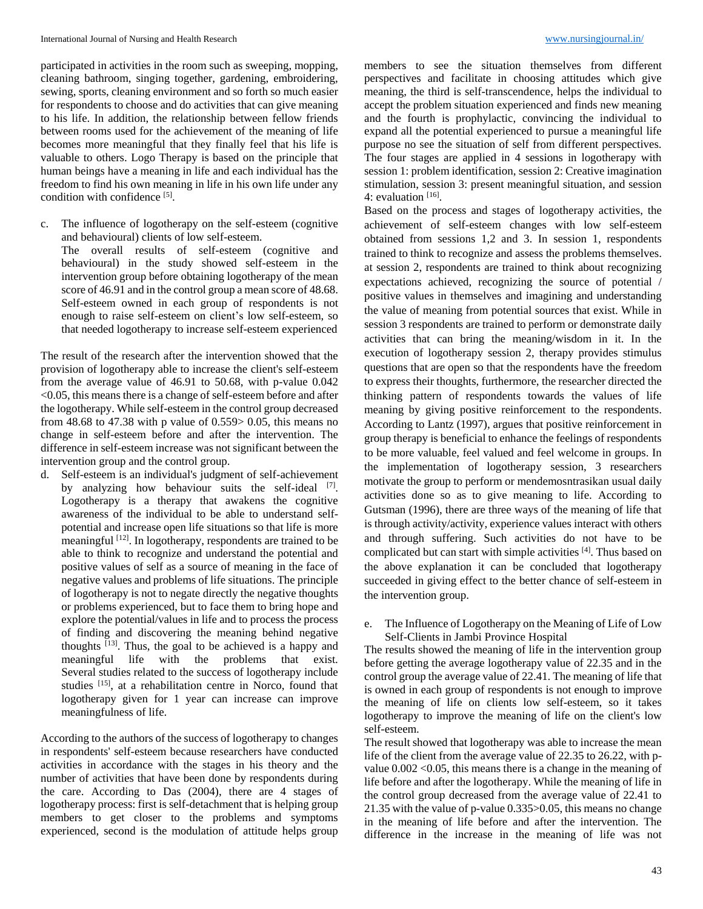participated in activities in the room such as sweeping, mopping, cleaning bathroom, singing together, gardening, embroidering, sewing, sports, cleaning environment and so forth so much easier for respondents to choose and do activities that can give meaning to his life. In addition, the relationship between fellow friends between rooms used for the achievement of the meaning of life becomes more meaningful that they finally feel that his life is valuable to others. Logo Therapy is based on the principle that human beings have a meaning in life and each individual has the freedom to find his own meaning in life in his own life under any condition with confidence [5].

c. The influence of logotherapy on the self-esteem (cognitive and behavioural) clients of low self-esteem.

The overall results of self-esteem (cognitive and behavioural) in the study showed self-esteem in the intervention group before obtaining logotherapy of the mean score of 46.91 and in the control group a mean score of 48.68. Self-esteem owned in each group of respondents is not enough to raise self-esteem on client's low self-esteem, so that needed logotherapy to increase self-esteem experienced

The result of the research after the intervention showed that the provision of logotherapy able to increase the client's self-esteem from the average value of 46.91 to 50.68, with p-value 0.042 <0.05, this means there is a change of self-esteem before and after the logotherapy. While self-esteem in the control group decreased from 48.68 to 47.38 with p value of 0.559> 0.05, this means no change in self-esteem before and after the intervention. The difference in self-esteem increase was not significant between the intervention group and the control group.

d. Self-esteem is an individual's judgment of self-achievement by analyzing how behaviour suits the self-ideal [7]. Logotherapy is a therapy that awakens the cognitive awareness of the individual to be able to understand selfpotential and increase open life situations so that life is more meaningful [12]. In logotherapy, respondents are trained to be able to think to recognize and understand the potential and positive values of self as a source of meaning in the face of negative values and problems of life situations. The principle of logotherapy is not to negate directly the negative thoughts or problems experienced, but to face them to bring hope and explore the potential/values in life and to process the process of finding and discovering the meaning behind negative thoughts [13]. Thus, the goal to be achieved is a happy and meaningful life with the problems that exist. Several studies related to the success of logotherapy include studies<sup>[15]</sup>, at a rehabilitation centre in Norco, found that logotherapy given for 1 year can increase can improve meaningfulness of life.

According to the authors of the success of logotherapy to changes in respondents' self-esteem because researchers have conducted activities in accordance with the stages in his theory and the number of activities that have been done by respondents during the care. According to Das (2004), there are 4 stages of logotherapy process: first is self-detachment that is helping group members to get closer to the problems and symptoms experienced, second is the modulation of attitude helps group members to see the situation themselves from different perspectives and facilitate in choosing attitudes which give meaning, the third is self-transcendence, helps the individual to accept the problem situation experienced and finds new meaning and the fourth is prophylactic, convincing the individual to expand all the potential experienced to pursue a meaningful life purpose no see the situation of self from different perspectives. The four stages are applied in 4 sessions in logotherapy with session 1: problem identification, session 2: Creative imagination stimulation, session 3: present meaningful situation, and session 4: evaluation [16].

Based on the process and stages of logotherapy activities, the achievement of self-esteem changes with low self-esteem obtained from sessions 1,2 and 3. In session 1, respondents trained to think to recognize and assess the problems themselves. at session 2, respondents are trained to think about recognizing expectations achieved, recognizing the source of potential / positive values in themselves and imagining and understanding the value of meaning from potential sources that exist. While in session 3 respondents are trained to perform or demonstrate daily activities that can bring the meaning/wisdom in it. In the execution of logotherapy session 2, therapy provides stimulus questions that are open so that the respondents have the freedom to express their thoughts, furthermore, the researcher directed the thinking pattern of respondents towards the values of life meaning by giving positive reinforcement to the respondents. According to Lantz (1997), argues that positive reinforcement in group therapy is beneficial to enhance the feelings of respondents to be more valuable, feel valued and feel welcome in groups. In the implementation of logotherapy session, 3 researchers motivate the group to perform or mendemosntrasikan usual daily activities done so as to give meaning to life. According to Gutsman (1996), there are three ways of the meaning of life that is through activity/activity, experience values interact with others and through suffering. Such activities do not have to be complicated but can start with simple activities [4]. Thus based on the above explanation it can be concluded that logotherapy succeeded in giving effect to the better chance of self-esteem in the intervention group.

e. The Influence of Logotherapy on the Meaning of Life of Low Self-Clients in Jambi Province Hospital

The results showed the meaning of life in the intervention group before getting the average logotherapy value of 22.35 and in the control group the average value of 22.41. The meaning of life that is owned in each group of respondents is not enough to improve the meaning of life on clients low self-esteem, so it takes logotherapy to improve the meaning of life on the client's low self-esteem.

The result showed that logotherapy was able to increase the mean life of the client from the average value of 22.35 to 26.22, with pvalue 0.002 <0.05, this means there is a change in the meaning of life before and after the logotherapy. While the meaning of life in the control group decreased from the average value of 22.41 to 21.35 with the value of p-value 0.335>0.05, this means no change in the meaning of life before and after the intervention. The difference in the increase in the meaning of life was not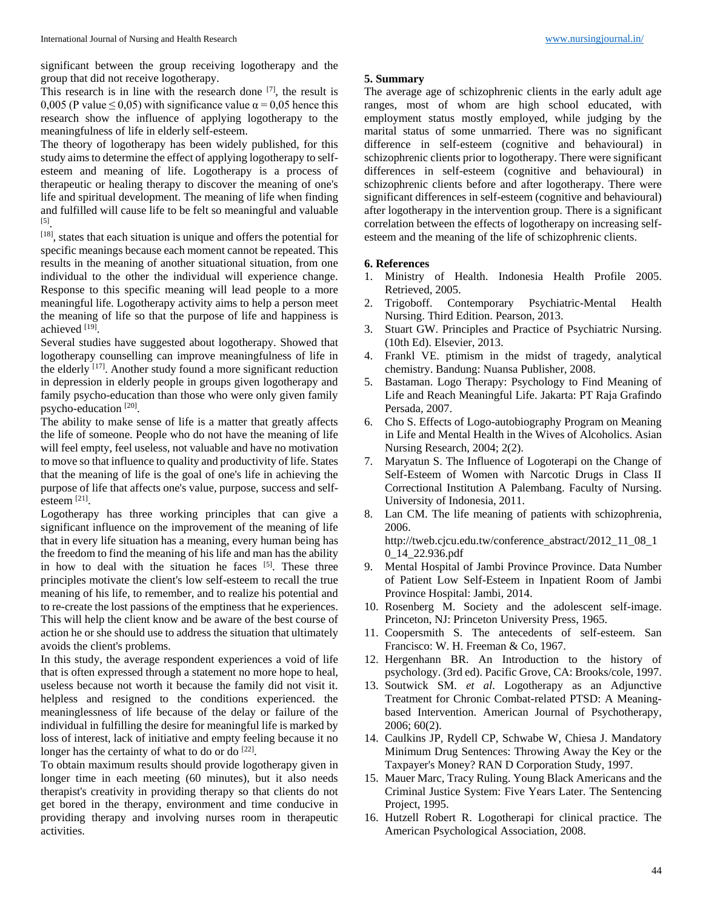significant between the group receiving logotherapy and the group that did not receive logotherapy.

This research is in line with the research done  $[7]$ , the result is 0,005 (P value  $\leq$  0,05) with significance value  $\alpha$  = 0,05 hence this research show the influence of applying logotherapy to the meaningfulness of life in elderly self-esteem.

The theory of logotherapy has been widely published, for this study aims to determine the effect of applying logotherapy to selfesteem and meaning of life. Logotherapy is a process of therapeutic or healing therapy to discover the meaning of one's life and spiritual development. The meaning of life when finding and fulfilled will cause life to be felt so meaningful and valuable [5] .

[18], states that each situation is unique and offers the potential for specific meanings because each moment cannot be repeated. This results in the meaning of another situational situation, from one individual to the other the individual will experience change. Response to this specific meaning will lead people to a more meaningful life. Logotherapy activity aims to help a person meet the meaning of life so that the purpose of life and happiness is achieved [19].

Several studies have suggested about logotherapy. Showed that logotherapy counselling can improve meaningfulness of life in the elderly [17]. Another study found a more significant reduction in depression in elderly people in groups given logotherapy and family psycho-education than those who were only given family psycho-education<sup>[20]</sup>.

The ability to make sense of life is a matter that greatly affects the life of someone. People who do not have the meaning of life will feel empty, feel useless, not valuable and have no motivation to move so that influence to quality and productivity of life. States that the meaning of life is the goal of one's life in achieving the purpose of life that affects one's value, purpose, success and selfesteem [21] .

Logotherapy has three working principles that can give a significant influence on the improvement of the meaning of life that in every life situation has a meaning, every human being has the freedom to find the meaning of his life and man has the ability in how to deal with the situation he faces  $[5]$ . These three principles motivate the client's low self-esteem to recall the true meaning of his life, to remember, and to realize his potential and to re-create the lost passions of the emptiness that he experiences. This will help the client know and be aware of the best course of action he or she should use to address the situation that ultimately avoids the client's problems.

In this study, the average respondent experiences a void of life that is often expressed through a statement no more hope to heal, useless because not worth it because the family did not visit it. helpless and resigned to the conditions experienced. the meaninglessness of life because of the delay or failure of the individual in fulfilling the desire for meaningful life is marked by loss of interest, lack of initiative and empty feeling because it no longer has the certainty of what to do or do [22].

To obtain maximum results should provide logotherapy given in longer time in each meeting (60 minutes), but it also needs therapist's creativity in providing therapy so that clients do not get bored in the therapy, environment and time conducive in providing therapy and involving nurses room in therapeutic activities.

### **5. Summary**

The average age of schizophrenic clients in the early adult age ranges, most of whom are high school educated, with employment status mostly employed, while judging by the marital status of some unmarried. There was no significant difference in self-esteem (cognitive and behavioural) in schizophrenic clients prior to logotherapy. There were significant differences in self-esteem (cognitive and behavioural) in schizophrenic clients before and after logotherapy. There were significant differences in self-esteem (cognitive and behavioural) after logotherapy in the intervention group. There is a significant correlation between the effects of logotherapy on increasing selfesteem and the meaning of the life of schizophrenic clients.

### **6. References**

- 1. Ministry of Health. Indonesia Health Profile 2005. Retrieved, 2005.
- 2. Trigoboff. Contemporary Psychiatric-Mental Health Nursing. Third Edition. Pearson, 2013.
- 3. Stuart GW. Principles and Practice of Psychiatric Nursing. (10th Ed). Elsevier, 2013.
- 4. Frankl VE. ptimism in the midst of tragedy, analytical chemistry. Bandung: Nuansa Publisher, 2008.
- 5. Bastaman. Logo Therapy: Psychology to Find Meaning of Life and Reach Meaningful Life. Jakarta: PT Raja Grafindo Persada, 2007.
- 6. Cho S. Effects of Logo-autobiography Program on Meaning in Life and Mental Health in the Wives of Alcoholics. Asian Nursing Research, 2004; 2(2).
- 7. Maryatun S. The Influence of Logoterapi on the Change of Self-Esteem of Women with Narcotic Drugs in Class II Correctional Institution A Palembang. Faculty of Nursing. University of Indonesia, 2011.
- 8. Lan CM. The life meaning of patients with schizophrenia, 2006.

http://tweb.cjcu.edu.tw/conference\_abstract/2012\_11\_08\_1 0\_14\_22.936.pdf

- 9. Mental Hospital of Jambi Province Province. Data Number of Patient Low Self-Esteem in Inpatient Room of Jambi Province Hospital: Jambi, 2014.
- 10. Rosenberg M. Society and the adolescent self-image. Princeton, NJ: Princeton University Press, 1965.
- 11. Coopersmith S. The antecedents of self-esteem. San Francisco: W. H. Freeman & Co, 1967.
- 12. Hergenhann BR. An Introduction to the history of psychology. (3rd ed). Pacific Grove, CA: Brooks/cole, 1997.
- 13. Soutwick SM. *et al*. Logotherapy as an Adjunctive Treatment for Chronic Combat-related PTSD: A Meaningbased Intervention. American Journal of Psychotherapy, 2006; 60(2).
- 14. Caulkins JP, Rydell CP, Schwabe W, Chiesa J. Mandatory Minimum Drug Sentences: Throwing Away the Key or the Taxpayer's Money? RAN D Corporation Study, 1997.
- 15. Mauer Marc, Tracy Ruling. Young Black Americans and the Criminal Justice System: Five Years Later. The Sentencing Project, 1995.
- 16. Hutzell Robert R. Logotherapi for clinical practice. The American Psychological Association, 2008.